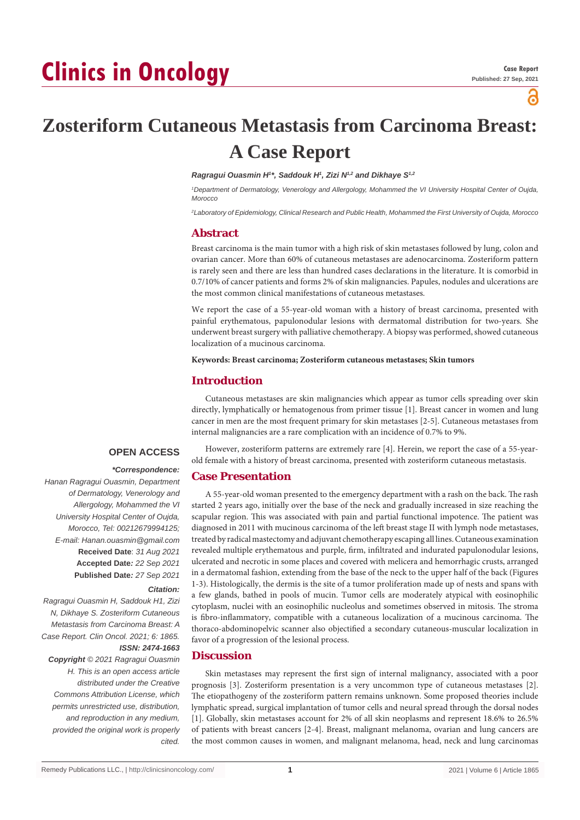# **Clinics in Oncology**

പ്പ

# **Zosteriform Cutaneous Metastasis from Carcinoma Breast: A Case Report**

#### *Ragragui Ouasmin H1 \*, Saddouk H1 , Zizi N1,2 and Dikhaye S1,2*

<sup>1</sup>Department of Dermatology, Venerology and Allergology, Mohammed the VI University Hospital Center of Oujda, *Morocco*

*2 Laboratory of Epidemiology, Clinical Research and Public Health, Mohammed the First University of Oujda, Morocco*

#### **Abstract**

Breast carcinoma is the main tumor with a high risk of skin metastases followed by lung, colon and ovarian cancer. More than 60% of cutaneous metastases are adenocarcinoma. Zosteriform pattern is rarely seen and there are less than hundred cases declarations in the literature. It is comorbid in 0.7/10% of cancer patients and forms 2% of skin malignancies. Papules, nodules and ulcerations are the most common clinical manifestations of cutaneous metastases.

We report the case of a 55-year-old woman with a history of breast carcinoma, presented with painful erythematous, papulonodular lesions with dermatomal distribution for two-years. She underwent breast surgery with palliative chemotherapy. A biopsy was performed, showed cutaneous localization of a mucinous carcinoma.

**Keywords: Breast carcinoma; Zosteriform cutaneous metastases; Skin tumors**

# **Introduction**

Cutaneous metastases are skin malignancies which appear as tumor cells spreading over skin directly, lymphatically or hematogenous from primer tissue [1]. Breast cancer in women and lung cancer in men are the most frequent primary for skin metastases [2-5]. Cutaneous metastases from internal malignancies are a rare complication with an incidence of 0.7% to 9%.

# **OPEN ACCESS**

 *\*Correspondence: Hanan Ragragui Ouasmin, Department of Dermatology, Venerology and Allergology, Mohammed the VI University Hospital Center of Oujda, Morocco, Tel: 00212679994125; E-mail: Hanan.ouasmin@gmail.com* **Received Date**: *31 Aug 2021* **Accepted Date***: 22 Sep 2021* **Published Date***: 27 Sep 2021*

#### *Citation:*

*Ragragui Ouasmin H, Saddouk H1, Zizi N, Dikhaye S. Zosteriform Cutaneous Metastasis from Carcinoma Breast: A Case Report. Clin Oncol. 2021; 6: 1865. ISSN: 2474-1663*

*Copyright © 2021 Ragragui Ouasmin H. This is an open access article distributed under the Creative Commons Attribution License, which permits unrestricted use, distribution, and reproduction in any medium, provided the original work is properly cited.*

However, zosteriform patterns are extremely rare [4]. Herein, we report the case of a 55-yearold female with a history of breast carcinoma, presented with zosteriform cutaneous metastasis.

#### **Case Presentation**

A 55-year-old woman presented to the emergency department with a rash on the back. The rash started 2 years ago, initially over the base of the neck and gradually increased in size reaching the scapular region. This was associated with pain and partial functional impotence. The patient was diagnosed in 2011 with mucinous carcinoma of the left breast stage II with lymph node metastases, treated by radical mastectomy and adjuvant chemotherapy escaping all lines. Cutaneous examination revealed multiple erythematous and purple, firm, infiltrated and indurated papulonodular lesions, ulcerated and necrotic in some places and covered with melicera and hemorrhagic crusts, arranged in a dermatomal fashion, extending from the base of the neck to the upper half of the back (Figures 1-3). Histologically, the dermis is the site of a tumor proliferation made up of nests and spans with a few glands, bathed in pools of mucin. Tumor cells are moderately atypical with eosinophilic cytoplasm, nuclei with an eosinophilic nucleolus and sometimes observed in mitosis. The stroma is fibro-inflammatory, compatible with a cutaneous localization of a mucinous carcinoma. The thoraco-abdominopelvic scanner also objectified a secondary cutaneous-muscular localization in favor of a progression of the lesional process.

#### **Discussion**

Skin metastases may represent the first sign of internal malignancy, associated with a poor prognosis [3]. Zosteriform presentation is a very uncommon type of cutaneous metastases [2]. The etiopathogeny of the zosteriform pattern remains unknown. Some proposed theories include lymphatic spread, surgical implantation of tumor cells and neural spread through the dorsal nodes [1]. Globally, skin metastases account for 2% of all skin neoplasms and represent 18.6% to 26.5% of patients with breast cancers [2-4]. Breast, malignant melanoma, ovarian and lung cancers are the most common causes in women, and malignant melanoma, head, neck and lung carcinomas